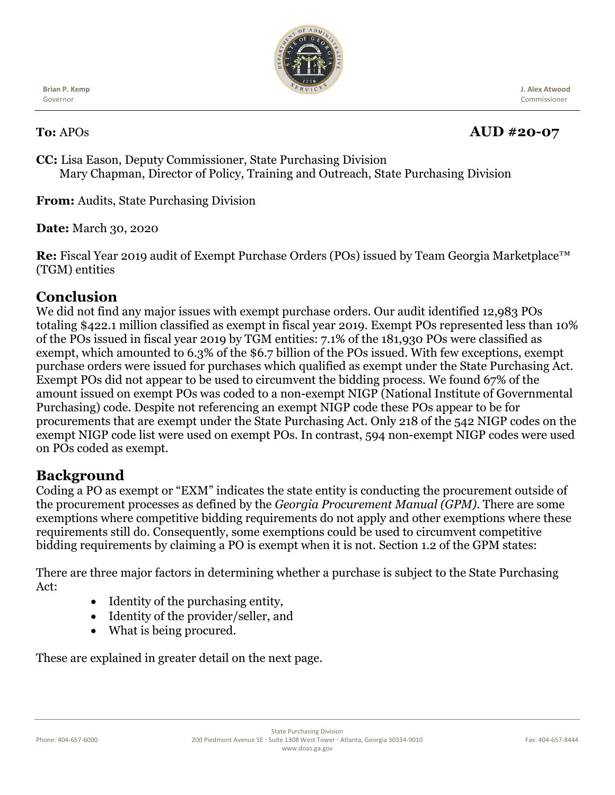

**Brian P. Kemp**  Governor

# **To:** APOs **AUD** #20-07

 **J. Alex Atwood** Commissioner

**CC:** Lisa Eason, Deputy Commissioner, State Purchasing Division Mary Chapman, Director of Policy, Training and Outreach, State Purchasing Division

**From:** Audits, State Purchasing Division

**Date:** March 30, 2020

**Re:** Fiscal Year 2019 audit of Exempt Purchase Orders (POs) issued by Team Georgia Marketplace™ (TGM) entities

# **Conclusion**

We did not find any major issues with exempt purchase orders. Our audit identified 12,983 POs totaling \$422.1 million classified as exempt in fiscal year 2019. Exempt POs represented less than 10% of the POs issued in fiscal year 2019 by TGM entities: 7.1% of the 181,930 POs were classified as exempt, which amounted to 6.3% of the \$6.7 billion of the POs issued. With few exceptions, exempt purchase orders were issued for purchases which qualified as exempt under the State Purchasing Act. Exempt POs did not appear to be used to circumvent the bidding process. We found 67% of the amount issued on exempt POs was coded to a non-exempt NIGP (National Institute of Governmental Purchasing) code. Despite not referencing an exempt NIGP code these POs appear to be for procurements that are exempt under the State Purchasing Act. Only 218 of the 542 NIGP codes on the exempt NIGP code list were used on exempt POs. In contrast, 594 non-exempt NIGP codes were used on POs coded as exempt.

# **Background**

Coding a PO as exempt or "EXM" indicates the state entity is conducting the procurement outside of the procurement processes as defined by the *Georgia Procurement Manual (GPM).* There are some exemptions where competitive bidding requirements do not apply and other exemptions where these requirements still do. Consequently, some exemptions could be used to circumvent competitive bidding requirements by claiming a PO is exempt when it is not. Section 1.2 of the GPM states:

There are three major factors in determining whether a purchase is subject to the State Purchasing Act:

- Identity of the purchasing entity,
- Identity of the provider/seller, and
- What is being procured.

These are explained in greater detail on the next page.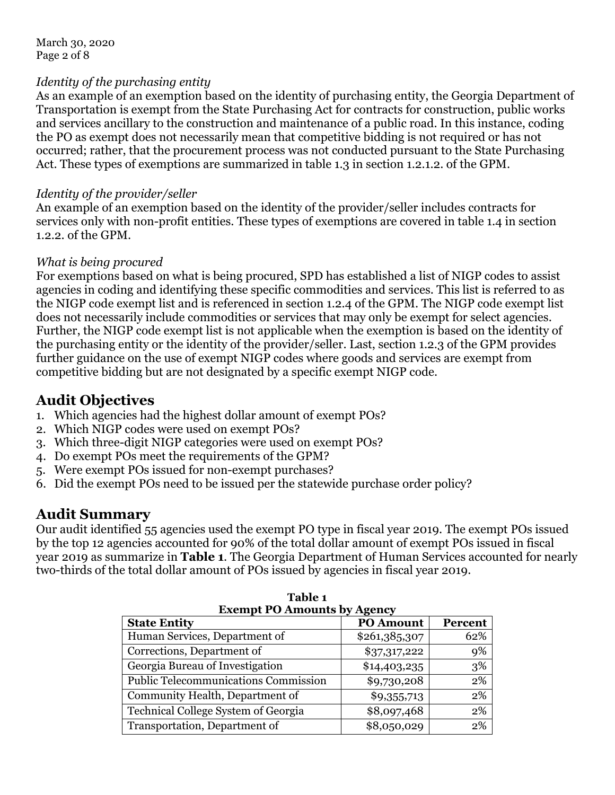March 30, 2020 Page 2 of 8

#### *Identity of the purchasing entity*

As an example of an exemption based on the identity of purchasing entity, the Georgia Department of Transportation is exempt from the State Purchasing Act for contracts for construction, public works and services ancillary to the construction and maintenance of a public road. In this instance, coding the PO as exempt does not necessarily mean that competitive bidding is not required or has not occurred; rather, that the procurement process was not conducted pursuant to the State Purchasing Act. These types of exemptions are summarized in table 1.3 in section 1.2.1.2. of the GPM.

#### *Identity of the provider/seller*

An example of an exemption based on the identity of the provider/seller includes contracts for services only with non-profit entities. These types of exemptions are covered in table 1.4 in section 1.2.2. of the GPM.

#### *What is being procured*

For exemptions based on what is being procured, SPD has established a list of NIGP codes to assist agencies in coding and identifying these specific commodities and services. This list is referred to as the NIGP code exempt list and is referenced in section 1.2.4 of the GPM. The NIGP code exempt list does not necessarily include commodities or services that may only be exempt for select agencies. Further, the NIGP code exempt list is not applicable when the exemption is based on the identity of the purchasing entity or the identity of the provider/seller. Last, section 1.2.3 of the GPM provides further guidance on the use of exempt NIGP codes where goods and services are exempt from competitive bidding but are not designated by a specific exempt NIGP code.

## **Audit Objectives**

- 1. Which agencies had the highest dollar amount of exempt POs?
- 2. Which NIGP codes were used on exempt POs?
- 3. Which three-digit NIGP categories were used on exempt POs?
- 4. Do exempt POs meet the requirements of the GPM?
- 5. Were exempt POs issued for non-exempt purchases?
- 6. Did the exempt POs need to be issued per the statewide purchase order policy?

# **Audit Summary**

Our audit identified 55 agencies used the exempt PO type in fiscal year 2019. The exempt POs issued by the top 12 agencies accounted for 90% of the total dollar amount of exempt POs issued in fiscal year 2019 as summarize in **Table 1**. The Georgia Department of Human Services accounted for nearly two-thirds of the total dollar amount of POs issued by agencies in fiscal year 2019.

| <b>Exempt PO Amounts by Agency</b>          |                  |         |  |  |
|---------------------------------------------|------------------|---------|--|--|
| <b>State Entity</b>                         | <b>PO Amount</b> | Percent |  |  |
| Human Services, Department of               | \$261,385,307    | 62%     |  |  |
| Corrections, Department of                  | \$37,317,222     | 9%      |  |  |
| Georgia Bureau of Investigation             | \$14,403,235     | 3%      |  |  |
| <b>Public Telecommunications Commission</b> | \$9,730,208      | 2%      |  |  |
| Community Health, Department of             | \$9,355,713      | 2%      |  |  |
| Technical College System of Georgia         | \$8,097,468      | 2%      |  |  |
| Transportation, Department of               | \$8,050,029      | 2%      |  |  |

**Table 1**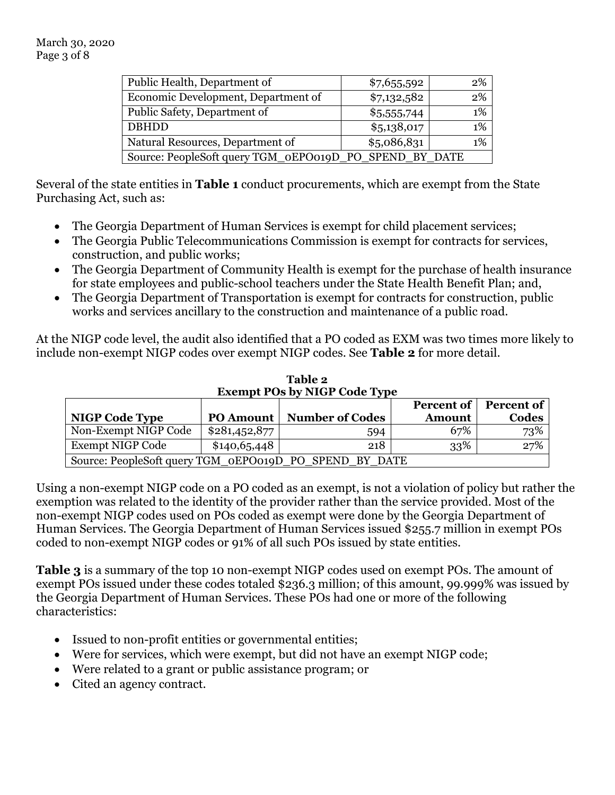| Public Health, Department of                           | \$7,655,592 | 2%    |  |
|--------------------------------------------------------|-------------|-------|--|
| Economic Development, Department of                    | \$7,132,582 | 2%    |  |
| Public Safety, Department of                           | \$5,555,744 | $1\%$ |  |
| <b>DBHDD</b>                                           | \$5,138,017 | $1\%$ |  |
| Natural Resources, Department of                       | \$5,086,831 | $1\%$ |  |
| Source: PeopleSoft query TGM_0EPO019D_PO_SPEND_BY_DATE |             |       |  |
|                                                        |             |       |  |

Several of the state entities in **Table 1** conduct procurements, which are exempt from the State Purchasing Act, such as:

- The Georgia Department of Human Services is exempt for child placement services;
- The Georgia Public Telecommunications Commission is exempt for contracts for services, construction, and public works;
- The Georgia Department of Community Health is exempt for the purchase of health insurance for state employees and public-school teachers under the State Health Benefit Plan; and,
- The Georgia Department of Transportation is exempt for contracts for construction, public works and services ancillary to the construction and maintenance of a public road.

At the NIGP code level, the audit also identified that a PO coded as EXM was two times more likely to include non-exempt NIGP codes over exempt NIGP codes. See **Table 2** for more detail.

| <b>Exempt POs by NIGP Code Type</b>                    |                  |                        |               |       |  |
|--------------------------------------------------------|------------------|------------------------|---------------|-------|--|
| <b>Percent of</b><br><b>Percent of</b>                 |                  |                        |               |       |  |
| <b>NIGP Code Type</b>                                  | <b>PO Amount</b> | <b>Number of Codes</b> | <b>Amount</b> | Codes |  |
| Non-Exempt NIGP Code                                   | \$281,452,877    | 594                    | 67%           | 73%   |  |
| <b>Exempt NIGP Code</b>                                | \$140,65,448     | 218                    | 33%           | 27%   |  |
| Source: PeopleSoft query TGM_oEPO019D_PO_SPEND_BY_DATE |                  |                        |               |       |  |

**Table 2**

Using a non-exempt NIGP code on a PO coded as an exempt, is not a violation of policy but rather the exemption was related to the identity of the provider rather than the service provided. Most of the non-exempt NIGP codes used on POs coded as exempt were done by the Georgia Department of Human Services. The Georgia Department of Human Services issued \$255.7 million in exempt POs coded to non-exempt NIGP codes or 91% of all such POs issued by state entities.

**Table 3** is a summary of the top 10 non-exempt NIGP codes used on exempt POs. The amount of exempt POs issued under these codes totaled \$236.3 million; of this amount, 99.999% was issued by the Georgia Department of Human Services. These POs had one or more of the following characteristics:

- Issued to non-profit entities or governmental entities;
- Were for services, which were exempt, but did not have an exempt NIGP code;
- Were related to a grant or public assistance program; or
- Cited an agency contract.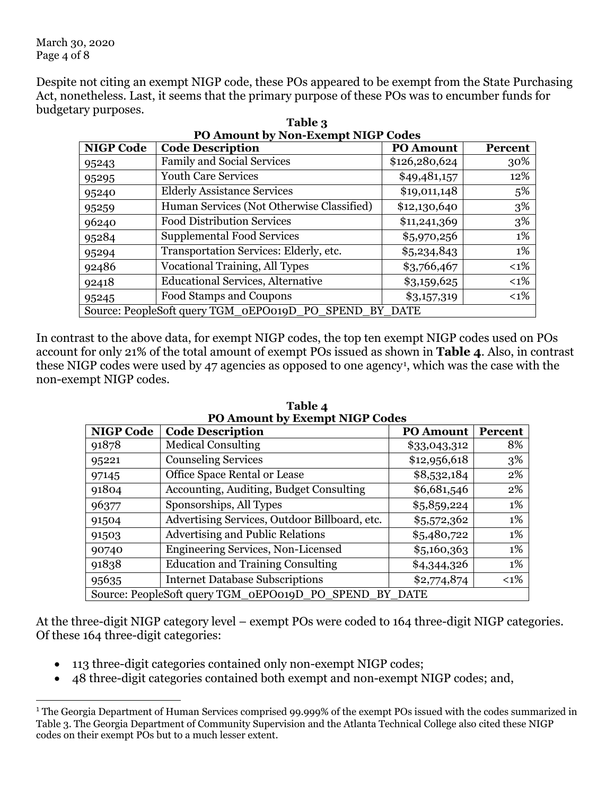March 30, 2020 Page 4 of 8

Despite not citing an exempt NIGP code, these POs appeared to be exempt from the State Purchasing Act, nonetheless. Last, it seems that the primary purpose of these POs was to encumber funds for budgetary purposes.

| <b>NIGP Code</b>                                       | <b>Code Description</b>                   | <b>PO Amount</b> | Percent |  |
|--------------------------------------------------------|-------------------------------------------|------------------|---------|--|
| 95243                                                  | <b>Family and Social Services</b>         | \$126,280,624    | 30%     |  |
| 95295                                                  | <b>Youth Care Services</b>                | \$49,481,157     | 12%     |  |
| 95240                                                  | <b>Elderly Assistance Services</b>        | \$19,011,148     | 5%      |  |
| 95259                                                  | Human Services (Not Otherwise Classified) | \$12,130,640     | 3%      |  |
| 96240                                                  | <b>Food Distribution Services</b>         | \$11,241,369     | 3%      |  |
| 95284                                                  | <b>Supplemental Food Services</b>         | \$5,970,256      | 1%      |  |
| 95294                                                  | Transportation Services: Elderly, etc.    | \$5,234,843      | 1%      |  |
| 92486                                                  | <b>Vocational Training, All Types</b>     | \$3,766,467      | $<$ 1%  |  |
| 92418                                                  | <b>Educational Services, Alternative</b>  | \$3,159,625      | $<1\%$  |  |
| 95245                                                  | Food Stamps and Coupons                   | \$3,157,319      | $<1\%$  |  |
| Source: PeopleSoft query TGM_oEPO019D_PO_SPEND_BY_DATE |                                           |                  |         |  |

**Table 3 PO Amount by Non-Exempt NIGP Codes**

In contrast to the above data, for exempt NIGP codes, the top ten exempt NIGP codes used on POs account for only 21% of the total amount of exempt POs issued as shown in **Table 4**. Also, in contrast these NIGP codes were used by 47 agencies as opposed to one agency[1](#page-3-0), which was the case with the non-exempt NIGP codes.

| <b>NIGP Code</b>                                           | PU Amount by Exempt NIGP Codes<br><b>Code Description</b> | <b>PO Amount</b> | Percent |  |
|------------------------------------------------------------|-----------------------------------------------------------|------------------|---------|--|
| 91878                                                      | <b>Medical Consulting</b>                                 | \$33,043,312     | 8%      |  |
| 95221                                                      | Counseling Services                                       | \$12,956,618     | 3%      |  |
| 97145                                                      | Office Space Rental or Lease                              | \$8,532,184      | 2%      |  |
| 91804                                                      | Accounting, Auditing, Budget Consulting                   | \$6,681,546      | 2%      |  |
| 96377                                                      | Sponsorships, All Types                                   | \$5,859,224      | 1%      |  |
| 91504                                                      | Advertising Services, Outdoor Billboard, etc.             | \$5,572,362      | 1%      |  |
| 91503                                                      | <b>Advertising and Public Relations</b>                   | \$5,480,722      | 1%      |  |
| 90740                                                      | <b>Engineering Services, Non-Licensed</b>                 | \$5,160,363      | 1%      |  |
| 91838                                                      | <b>Education and Training Consulting</b>                  | \$4,344,326      | 1%      |  |
| 95635                                                      | <b>Internet Database Subscriptions</b>                    | \$2,774,874      | $< 1\%$ |  |
| Source: PeopleSoft query TGM_0EPO019D_PO_SPEND_<br>BY DATE |                                                           |                  |         |  |

**Table 4 PO Amount by Exempt NIGP Codes**

At the three-digit NIGP category level – exempt POs were coded to 164 three-digit NIGP categories. Of these 164 three-digit categories:

- 113 three-digit categories contained only non-exempt NIGP codes;
- 48 three-digit categories contained both exempt and non-exempt NIGP codes; and,

<span id="page-3-0"></span><sup>&</sup>lt;sup>1</sup> The Georgia Department of Human Services comprised 99.999% of the exempt POs issued with the codes summarized in Table 3. The Georgia Department of Community Supervision and the Atlanta Technical College also cited these NIGP codes on their exempt POs but to a much lesser extent.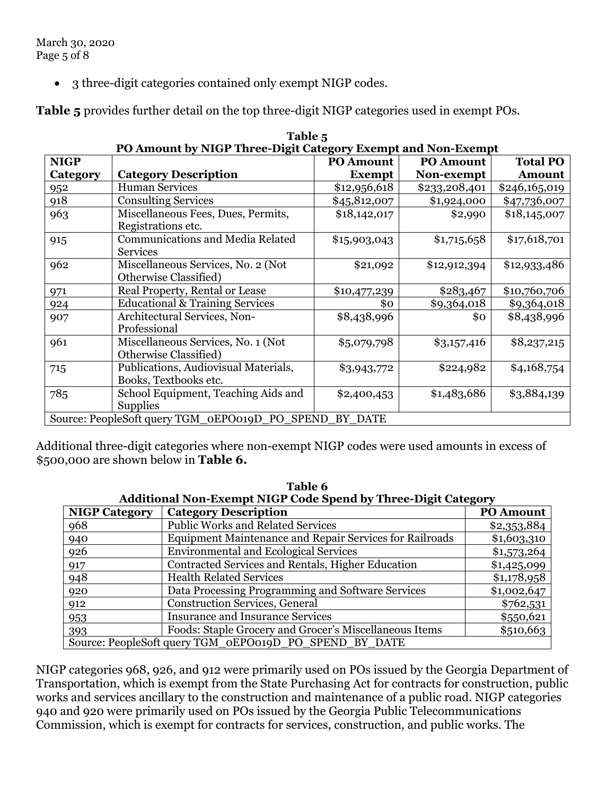• 3 three-digit categories contained only exempt NIGP codes.

**Table 5** provides further detail on the top three-digit NIGP categories used in exempt POs.

|                                                           | PO Amount by NIGP Three-Digit Category Exempt and Non-Exempt |                  |                  |                 |  |  |
|-----------------------------------------------------------|--------------------------------------------------------------|------------------|------------------|-----------------|--|--|
| <b>NIGP</b>                                               |                                                              | <b>PO Amount</b> | <b>PO Amount</b> | <b>Total PO</b> |  |  |
| Category                                                  | <b>Category Description</b>                                  | <b>Exempt</b>    | Non-exempt       | <b>Amount</b>   |  |  |
| 952                                                       | <b>Human Services</b>                                        | \$12,956,618     | \$233,208,401    | \$246,165,019   |  |  |
| 918                                                       | <b>Consulting Services</b>                                   | \$45,812,007     | \$1,924,000      | \$47,736,007    |  |  |
| 963                                                       | Miscellaneous Fees, Dues, Permits,                           | \$18,142,017     | \$2,990          | \$18,145,007    |  |  |
|                                                           | Registrations etc.                                           |                  |                  |                 |  |  |
| 915                                                       | <b>Communications and Media Related</b>                      | \$15,903,043     | \$1,715,658      | \$17,618,701    |  |  |
|                                                           | <b>Services</b>                                              |                  |                  |                 |  |  |
| 962                                                       | Miscellaneous Services, No. 2 (Not                           | \$21,092         | \$12,912,394     | \$12,933,486    |  |  |
|                                                           | Otherwise Classified)                                        |                  |                  |                 |  |  |
| 971                                                       | Real Property, Rental or Lease                               | \$10,477,239     | \$283,467        | \$10,760,706    |  |  |
| 924                                                       | <b>Educational &amp; Training Services</b>                   | \$0              | \$9,364,018      | \$9,364,018     |  |  |
| 907                                                       | Architectural Services, Non-                                 | \$8,438,996      | \$ο              | \$8,438,996     |  |  |
|                                                           | Professional                                                 |                  |                  |                 |  |  |
| 961                                                       | Miscellaneous Services, No. 1 (Not                           | \$5,079,798      | \$3,157,416      | \$8,237,215     |  |  |
|                                                           | Otherwise Classified)                                        |                  |                  |                 |  |  |
| 715                                                       | Publications, Audiovisual Materials,                         | \$3,943,772      | \$224,982        | \$4,168,754     |  |  |
|                                                           | Books, Textbooks etc.                                        |                  |                  |                 |  |  |
| 785                                                       | School Equipment, Teaching Aids and                          | \$2,400,453      | \$1,483,686      | \$3,884,139     |  |  |
|                                                           | <b>Supplies</b>                                              |                  |                  |                 |  |  |
| Source: PeopleSoft query TGM_oEPO019D_PO_SPEND<br>BY DATE |                                                              |                  |                  |                 |  |  |

| Table 5                                                      |  |  |  |  |
|--------------------------------------------------------------|--|--|--|--|
| PO Amount by NIGP Three-Digit Category Exempt and Non-Exempt |  |  |  |  |
|                                                              |  |  |  |  |

Additional three-digit categories where non-exempt NIGP codes were used amounts in excess of \$500,000 are shown below in **Table 6.**

| таніс ў                                                       |                                                                |                  |  |
|---------------------------------------------------------------|----------------------------------------------------------------|------------------|--|
| Additional Non-Exempt NIGP Code Spend by Three-Digit Category |                                                                |                  |  |
| <b>NIGP Category</b>                                          | <b>Category Description</b>                                    | <b>PO Amount</b> |  |
| 968                                                           | <b>Public Works and Related Services</b>                       | \$2,353,884      |  |
| 940                                                           | <b>Equipment Maintenance and Repair Services for Railroads</b> | \$1,603,310      |  |
| 926                                                           | <b>Environmental and Ecological Services</b>                   | \$1,573,264      |  |
| 917                                                           | Contracted Services and Rentals, Higher Education              | \$1,425,099      |  |
| 948                                                           | <b>Health Related Services</b>                                 | \$1,178,958      |  |
| 920                                                           | Data Processing Programming and Software Services              | \$1,002,647      |  |
| 912                                                           | <b>Construction Services, General</b>                          | \$762,531        |  |
| 953                                                           | <b>Insurance and Insurance Services</b>                        | \$550,621        |  |
| 393                                                           | Foods: Staple Grocery and Grocer's Miscellaneous Items         | \$510,663        |  |
| Source: PeopleSoft query TGM_0EPO019D_PO_SPEND_BY_DATE        |                                                                |                  |  |

**Table 6**

NIGP categories 968, 926, and 912 were primarily used on POs issued by the Georgia Department of Transportation, which is exempt from the State Purchasing Act for contracts for construction, public works and services ancillary to the construction and maintenance of a public road. NIGP categories 940 and 920 were primarily used on POs issued by the Georgia Public Telecommunications Commission, which is exempt for contracts for services, construction, and public works. The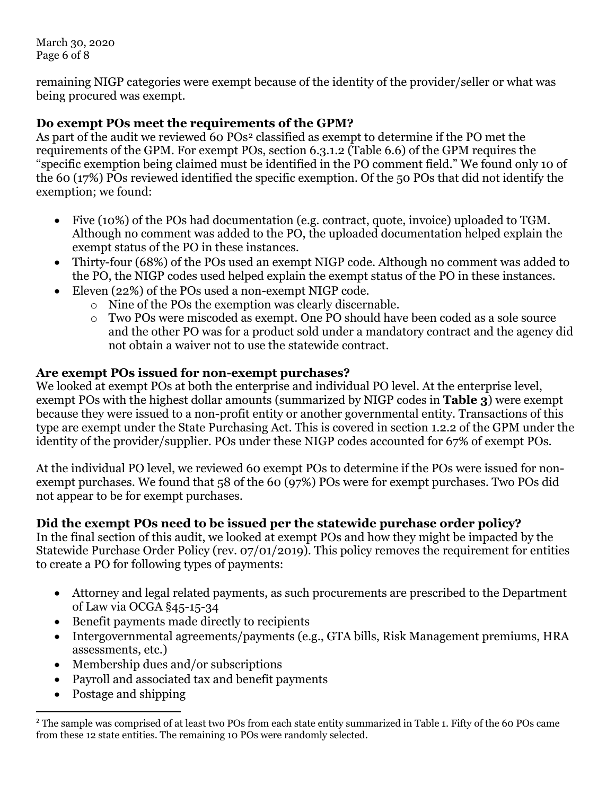March 30, 2020 Page 6 of 8

remaining NIGP categories were exempt because of the identity of the provider/seller or what was being procured was exempt.

## **Do exempt POs meet the requirements of the GPM?**

As part of the audit we reviewed 60 POs<sup>[2](#page-5-0)</sup> classified as exempt to determine if the PO met the requirements of the GPM. For exempt POs, section 6.3.1.2 (Table 6.6) of the GPM requires the "specific exemption being claimed must be identified in the PO comment field." We found only 10 of the 60 (17%) POs reviewed identified the specific exemption. Of the 50 POs that did not identify the exemption; we found:

- Five (10%) of the POs had documentation (e.g. contract, quote, invoice) uploaded to TGM. Although no comment was added to the PO, the uploaded documentation helped explain the exempt status of the PO in these instances.
- Thirty-four (68%) of the POs used an exempt NIGP code. Although no comment was added to the PO, the NIGP codes used helped explain the exempt status of the PO in these instances.
- Eleven (22%) of the POs used a non-exempt NIGP code.
	- o Nine of the POs the exemption was clearly discernable.
	- o Two POs were miscoded as exempt. One PO should have been coded as a sole source and the other PO was for a product sold under a mandatory contract and the agency did not obtain a waiver not to use the statewide contract.

## **Are exempt POs issued for non-exempt purchases?**

We looked at exempt POs at both the enterprise and individual PO level. At the enterprise level, exempt POs with the highest dollar amounts (summarized by NIGP codes in **Table 3**) were exempt because they were issued to a non-profit entity or another governmental entity. Transactions of this type are exempt under the State Purchasing Act. This is covered in section 1.2.2 of the GPM under the identity of the provider/supplier. POs under these NIGP codes accounted for 67% of exempt POs.

At the individual PO level, we reviewed 60 exempt POs to determine if the POs were issued for nonexempt purchases. We found that 58 of the 60 (97%) POs were for exempt purchases. Two POs did not appear to be for exempt purchases.

## **Did the exempt POs need to be issued per the statewide purchase order policy?**

In the final section of this audit, we looked at exempt POs and how they might be impacted by the Statewide Purchase Order Policy (rev. 07/01/2019). This policy removes the requirement for entities to create a PO for following types of payments:

- Attorney and legal related payments, as such procurements are prescribed to the Department of Law via OCGA §45-15-34
- Benefit payments made directly to recipients
- Intergovernmental agreements/payments (e.g., GTA bills, Risk Management premiums, HRA assessments, etc.)
- Membership dues and/or subscriptions
- Payroll and associated tax and benefit payments
- Postage and shipping

<span id="page-5-0"></span><sup>&</sup>lt;sup>2</sup> The sample was comprised of at least two POs from each state entity summarized in Table 1. Fifty of the 60 POs came from these 12 state entities. The remaining 10 POs were randomly selected.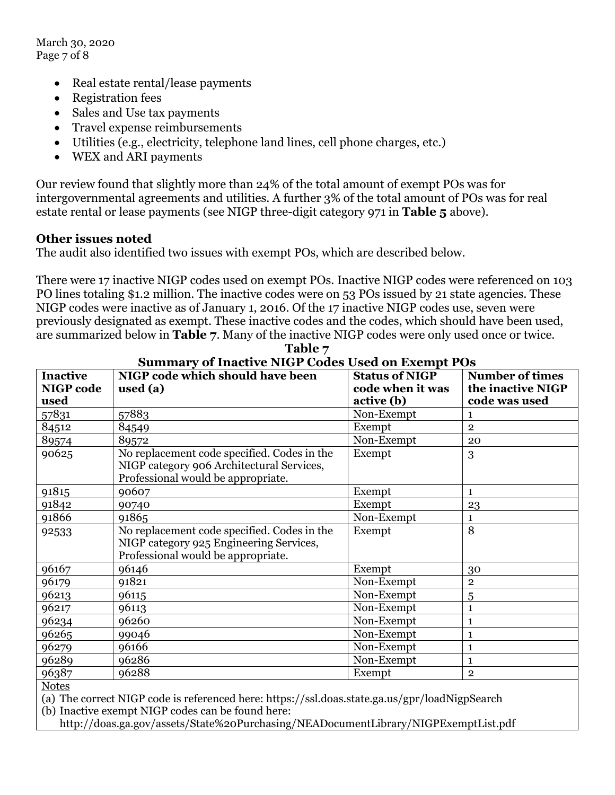March 30, 2020 Page 7 of 8

- Real estate rental/lease payments
- Registration fees
- Sales and Use tax payments
- Travel expense reimbursements
- Utilities (e.g., electricity, telephone land lines, cell phone charges, etc.)
- WEX and ARI payments

Our review found that slightly more than 24% of the total amount of exempt POs was for intergovernmental agreements and utilities. A further 3% of the total amount of POs was for real estate rental or lease payments (see NIGP three-digit category 971 in **Table 5** above).

#### **Other issues noted**

The audit also identified two issues with exempt POs, which are described below.

There were 17 inactive NIGP codes used on exempt POs. Inactive NIGP codes were referenced on 103 PO lines totaling \$1.2 million. The inactive codes were on 53 POs issued by 21 state agencies. These NIGP codes were inactive as of January 1, 2016. Of the 17 inactive NIGP codes use, seven were previously designated as exempt. These inactive codes and the codes, which should have been used, are summarized below in **Table 7**. Many of the inactive NIGP codes were only used once or twice.

| <b>Inactive</b>                                                                                                                                                    | Summary of machine NTST Could Used on Exempt T OS<br>NIGP code which should have been                                          | <b>Status of NIGP</b> | <b>Number of times</b> |  |
|--------------------------------------------------------------------------------------------------------------------------------------------------------------------|--------------------------------------------------------------------------------------------------------------------------------|-----------------------|------------------------|--|
| <b>NIGP</b> code                                                                                                                                                   | used $(a)$                                                                                                                     | code when it was      | the inactive NIGP      |  |
| used                                                                                                                                                               |                                                                                                                                | active (b)            | code was used          |  |
| 57831                                                                                                                                                              | 57883                                                                                                                          | Non-Exempt            | 1                      |  |
| 84512                                                                                                                                                              | 84549                                                                                                                          | Exempt                | $\mathbf{2}$           |  |
| 89574                                                                                                                                                              | 89572                                                                                                                          | Non-Exempt            | 20                     |  |
| 90625                                                                                                                                                              | No replacement code specified. Codes in the<br>NIGP category 906 Architectural Services,<br>Professional would be appropriate. | Exempt                | 3                      |  |
| 91815                                                                                                                                                              | 90607                                                                                                                          | Exempt                | $\mathbf{1}$           |  |
| 91842                                                                                                                                                              | 90740                                                                                                                          | Exempt                | 23                     |  |
| 91866                                                                                                                                                              | 91865                                                                                                                          | Non-Exempt            | 1                      |  |
| 92533                                                                                                                                                              | No replacement code specified. Codes in the<br>NIGP category 925 Engineering Services,<br>Professional would be appropriate.   | Exempt                | 8                      |  |
| 96167                                                                                                                                                              | 96146                                                                                                                          | Exempt                | 30                     |  |
| 96179                                                                                                                                                              | 91821                                                                                                                          | Non-Exempt            | $\overline{2}$         |  |
| 96213                                                                                                                                                              | 96115                                                                                                                          | Non-Exempt            | 5                      |  |
| 96217                                                                                                                                                              | 96113                                                                                                                          | Non-Exempt            | 1                      |  |
| 96234                                                                                                                                                              | 96260                                                                                                                          | Non-Exempt            | $\mathbf{1}$           |  |
| 96265                                                                                                                                                              | 99046                                                                                                                          | Non-Exempt            | $\mathbf{1}$           |  |
| 96279                                                                                                                                                              | 96166                                                                                                                          | Non-Exempt            | $\mathbf{1}$           |  |
| 96289                                                                                                                                                              | 96286                                                                                                                          | Non-Exempt            | $\mathbf{1}$           |  |
| 96387                                                                                                                                                              | 96288                                                                                                                          | Exempt                | $\mathbf{2}$           |  |
| <b>Notes</b><br>(a) The correct NIGP code is referenced here: https://ssl.doas.state.ga.us/gpr/loadNigpSearch<br>(b) Ingertive event MICD eader can be found here. |                                                                                                                                |                       |                        |  |

**Table 7 Summary of Inactive NIGP Codes Used on Exempt POs**

(b) Inactive exempt NIGP codes can be found here:

http://doas.ga.gov/assets/State%20Purchasing/NEADocumentLibrary/NIGPExemptList.pdf